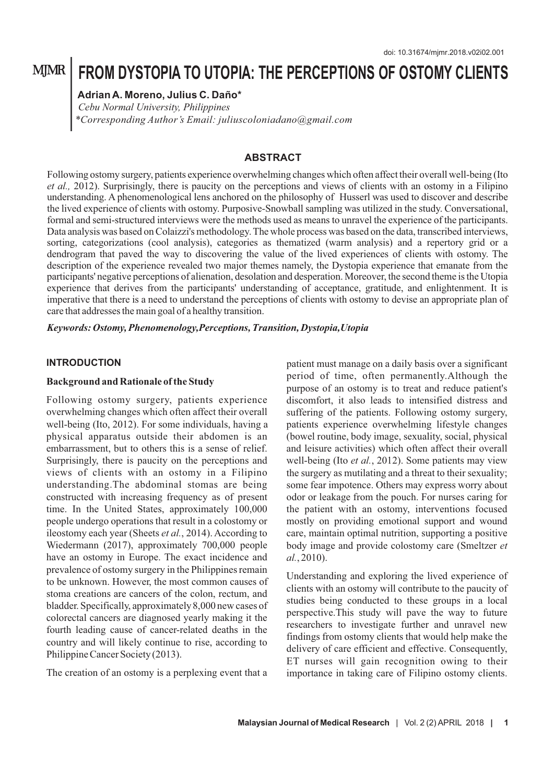# **FROM DYSTOPIA TO UTOPIA: THE PERCEPTIONS OF OSTOMY CLIENTS MJMR**

**Adrian A. Moreno, Julius C. Daño\***

*\*Corresponding Author's Email: juliuscoloniadano@gmail.com Cebu Normal University, Philippines*

### **ABSTRACT**

Following ostomy surgery, patients experience overwhelming changes which often affect their overall well-being (Ito *et al.,* 2012). Surprisingly, there is paucity on the perceptions and views of clients with an ostomy in a Filipino understanding. A phenomenological lens anchored on the philosophy of Husserl was used to discover and describe the lived experience of clients with ostomy. Purposive-Snowball sampling was utilized in the study. Conversational, formal and semi-structured interviews were the methods used as means to unravel the experience of the participants. Data analysis was based on Colaizzi's methodology. The whole process was based on the data, transcribed interviews, sorting, categorizations (cool analysis), categories as thematized (warm analysis) and a repertory grid or a dendrogram that paved the way to discovering the value of the lived experiences of clients with ostomy. The description of the experience revealed two major themes namely, the Dystopia experience that emanate from the participants' negative perceptions of alienation, desolation and desperation. Moreover, the second theme is the Utopia experience that derives from the participants' understanding of acceptance, gratitude, and enlightenment. It is imperative that there is a need to understand the perceptions of clients with ostomy to devise an appropriate plan of care that addresses the main goal of a healthy transition.

*Keywords: Ostomy, Phenomenology,Perceptions, Transition, Dystopia,Utopia* 

#### **INTRODUCTION**

#### **Background and Rationale of the Study**

Following ostomy surgery, patients experience overwhelming changes which often affect their overall well-being (Ito, 2012). For some individuals, having a physical apparatus outside their abdomen is an embarrassment, but to others this is a sense of relief. Surprisingly, there is paucity on the perceptions and views of clients with an ostomy in a Filipino understanding.The abdominal stomas are being constructed with increasing frequency as of present time. In the United States, approximately 100,000 people undergo operations that result in a colostomy or ileostomy each year (Sheets *et al.*, 2014). According to Wiedermann (2017), approximately 700,000 people have an ostomy in Europe. The exact incidence and prevalence of ostomy surgery in the Philippines remain to be unknown. However, the most common causes of stoma creations are cancers of the colon, rectum, and bladder. Specifically, approximately 8,000 new cases of colorectal cancers are diagnosed yearly making it the fourth leading cause of cancer-related deaths in the country and will likely continue to rise, according to Philippine Cancer Society (2013).

The creation of an ostomy is a perplexing event that a

patient must manage on a daily basis over a significant period of time, often permanently.Although the purpose of an ostomy is to treat and reduce patient's discomfort, it also leads to intensified distress and suffering of the patients. Following ostomy surgery, patients experience overwhelming lifestyle changes (bowel routine, body image, sexuality, social, physical and leisure activities) which often affect their overall well-being (Ito *et al.*, 2012). Some patients may view the surgery as mutilating and a threat to their sexuality; some fear impotence. Others may express worry about odor or leakage from the pouch. For nurses caring for the patient with an ostomy, interventions focused mostly on providing emotional support and wound care, maintain optimal nutrition, supporting a positive body image and provide colostomy care (Smeltzer *et al.*, 2010).

Understanding and exploring the lived experience of clients with an ostomy will contribute to the paucity of studies being conducted to these groups in a local perspective.This study will pave the way to future researchers to investigate further and unravel new findings from ostomy clients that would help make the delivery of care efficient and effective. Consequently, ET nurses will gain recognition owing to their importance in taking care of Filipino ostomy clients.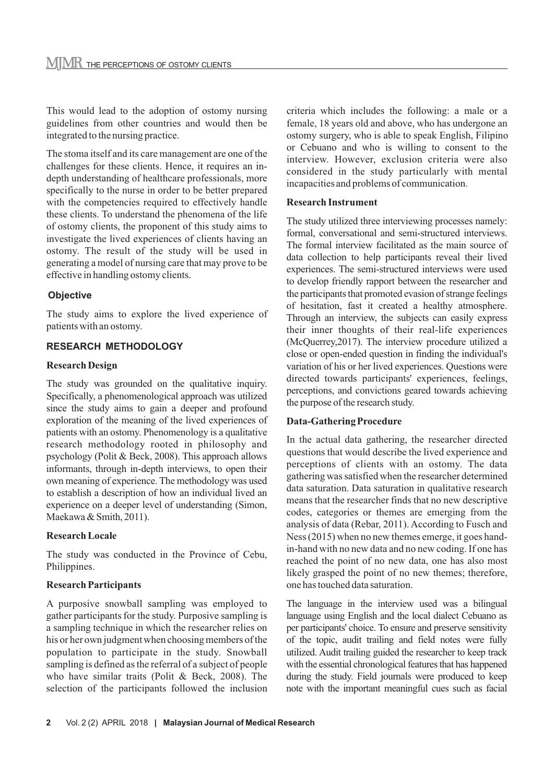This would lead to the adoption of ostomy nursing guidelines from other countries and would then be integrated to the nursing practice.

The stoma itself and its care management are one of the challenges for these clients. Hence, it requires an indepth understanding of healthcare professionals, more specifically to the nurse in order to be better prepared with the competencies required to effectively handle these clients. To understand the phenomena of the life of ostomy clients, the proponent of this study aims to investigate the lived experiences of clients having an ostomy. The result of the study will be used in generating a model of nursing care that may prove to be effective in handling ostomy clients.

### **Objective**

The study aims to explore the lived experience of patients with an ostomy.

### **RESEARCH METHODOLOGY**

### **Research Design**

The study was grounded on the qualitative inquiry. Specifically, a phenomenological approach was utilized since the study aims to gain a deeper and profound exploration of the meaning of the lived experiences of patients with an ostomy. Phenomenology is a qualitative research methodology rooted in philosophy and psychology (Polit & Beck, 2008). This approach allows informants, through in-depth interviews, to open their own meaning of experience. The methodology was used to establish a description of how an individual lived an experience on a deeper level of understanding (Simon, Maekawa & Smith, 2011).

### **Research Locale**

The study was conducted in the Province of Cebu, Philippines.

### **Research Participants**

A purposive snowball sampling was employed to gather participants for the study. Purposive sampling is a sampling technique in which the researcher relies on his or her own judgment when choosing members of the population to participate in the study. Snowball sampling is defined as the referral of a subject of people who have similar traits (Polit & Beck, 2008). The selection of the participants followed the inclusion criteria which includes the following: a male or a female, 18 years old and above, who has undergone an ostomy surgery, who is able to speak English, Filipino or Cebuano and who is willing to consent to the interview. However, exclusion criteria were also considered in the study particularly with mental incapacities and problems of communication.

### **Research Instrument**

The study utilized three interviewing processes namely: formal, conversational and semi-structured interviews. The formal interview facilitated as the main source of data collection to help participants reveal their lived experiences. The semi-structured interviews were used to develop friendly rapport between the researcher and the participants that promoted evasion of strange feelings of hesitation, fast it created a healthy atmosphere. Through an interview, the subjects can easily express their inner thoughts of their real-life experiences (McQuerrey,2017). The interview procedure utilized a close or open-ended question in finding the individual's variation of his or her lived experiences. Questions were directed towards participants' experiences, feelings, perceptions, and convictions geared towards achieving the purpose of the research study.

### **Data-Gathering Procedure**

In the actual data gathering, the researcher directed questions that would describe the lived experience and perceptions of clients with an ostomy. The data gathering was satisfied when the researcher determined data saturation. Data saturation in qualitative research means that the researcher finds that no new descriptive codes, categories or themes are emerging from the analysis of data (Rebar, 2011). According to Fusch and Ness (2015) when no new themes emerge, it goes handin-hand with no new data and no new coding. If one has reached the point of no new data, one has also most likely grasped the point of no new themes; therefore, one has touched data saturation.

The language in the interview used was a bilingual language using English and the local dialect Cebuano as per participants' choice. To ensure and preserve sensitivity of the topic, audit trailing and field notes were fully utilized. Audit trailing guided the researcher to keep track with the essential chronological features that has happened during the study. Field journals were produced to keep note with the important meaningful cues such as facial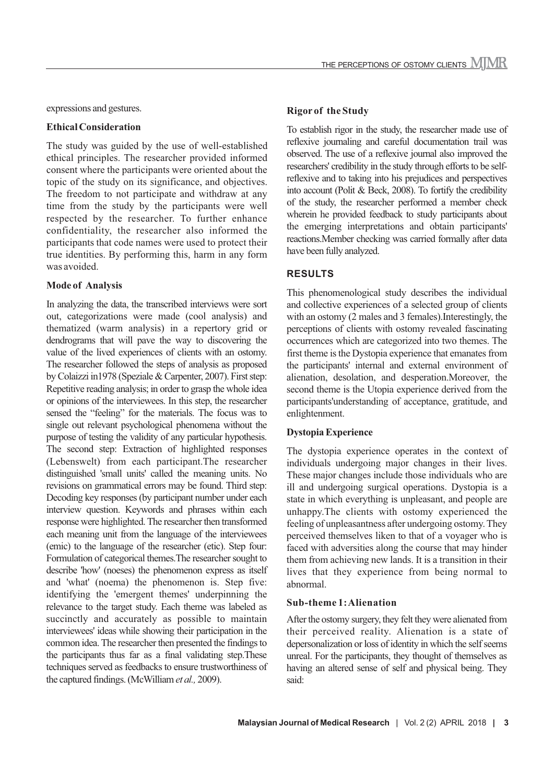expressions and gestures.

#### **Ethical Consideration**

The study was guided by the use of well-established ethical principles. The researcher provided informed consent where the participants were oriented about the topic of the study on its significance, and objectives. The freedom to not participate and withdraw at any time from the study by the participants were well respected by the researcher. To further enhance confidentiality, the researcher also informed the participants that code names were used to protect their true identities. By performing this, harm in any form was avoided.

### **Mode of Analysis**

In analyzing the data, the transcribed interviews were sort out, categorizations were made (cool analysis) and thematized (warm analysis) in a repertory grid or dendrograms that will pave the way to discovering the value of the lived experiences of clients with an ostomy. The researcher followed the steps of analysis as proposed by Colaizzi in1978 (Speziale & Carpenter, 2007). First step: Repetitive reading analysis; in order to grasp the whole idea or opinions of the interviewees. In this step, the researcher sensed the "feeling" for the materials. The focus was to single out relevant psychological phenomena without the purpose of testing the validity of any particular hypothesis. The second step: Extraction of highlighted responses (Lebenswelt) from each participant.The researcher distinguished 'small units' called the meaning units. No revisions on grammatical errors may be found. Third step: Decoding key responses (by participant number under each interview question. Keywords and phrases within each response were highlighted. The researcher then transformed each meaning unit from the language of the interviewees (emic) to the language of the researcher (etic). Step four: Formulation of categorical themes.The researcher sought to describe 'how' (noeses) the phenomenon express as itself and 'what' (noema) the phenomenon is. Step five: identifying the 'emergent themes' underpinning the relevance to the target study. Each theme was labeled as succinctly and accurately as possible to maintain interviewees' ideas while showing their participation in the common idea. The researcher then presented the findings to the participants thus far as a final validating step.These techniques served as feedbacks to ensure trustworthiness of the captured findings. (McWilliam *et al.,* 2009).

#### **Rigor of the Study**

To establish rigor in the study, the researcher made use of reflexive journaling and careful documentation trail was observed. The use of a reflexive journal also improved the researchers' credibility in the study through efforts to be selfreflexive and to taking into his prejudices and perspectives into account (Polit & Beck, 2008). To fortify the credibility of the study, the researcher performed a member check wherein he provided feedback to study participants about the emerging interpretations and obtain participants' reactions.Member checking was carried formally after data have been fully analyzed.

### **RESULTS**

This phenomenological study describes the individual and collective experiences of a selected group of clients with an ostomy (2 males and 3 females).Interestingly, the perceptions of clients with ostomy revealed fascinating occurrences which are categorized into two themes. The first theme is the Dystopia experience that emanates from the participants' internal and external environment of alienation, desolation, and desperation.Moreover, the second theme is the Utopia experience derived from the participants'understanding of acceptance, gratitude, and enlightenment.

### **Dystopia Experience**

The dystopia experience operates in the context of individuals undergoing major changes in their lives. These major changes include those individuals who are ill and undergoing surgical operations. Dystopia is a state in which everything is unpleasant, and people are unhappy.The clients with ostomy experienced the feeling of unpleasantness after undergoing ostomy. They perceived themselves liken to that of a voyager who is faced with adversities along the course that may hinder them from achieving new lands. It is a transition in their lives that they experience from being normal to abnormal.

### **Sub-theme 1: Alienation**

After the ostomy surgery, they felt they were alienated from their perceived reality. Alienation is a state of depersonalization or loss of identity in which the self seems unreal. For the participants, they thought of themselves as having an altered sense of self and physical being. They said: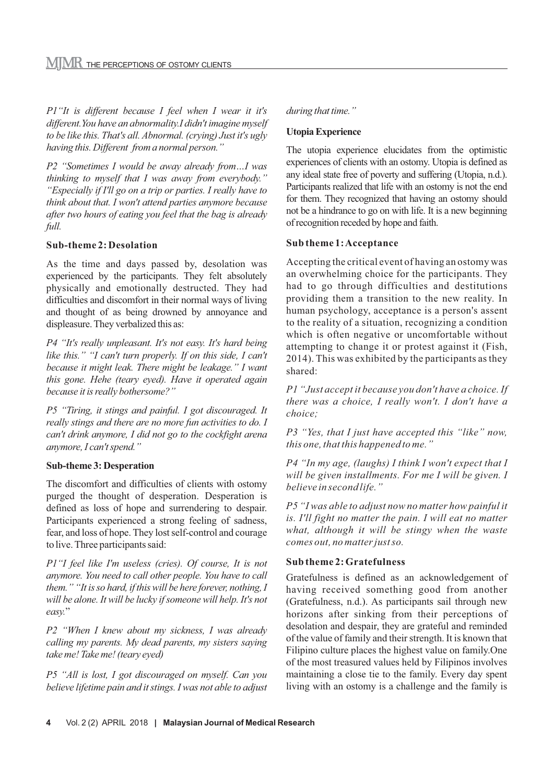*P1"It is different because I feel when I wear it it's different.You have an abnormality.I didn't imagine myself to be like this. That's all. Abnormal. (crying) Just it's ugly having this. Different from a normal person."*

*P2 "Sometimes I would be away already from…I was thinking to myself that I was away from everybody." "Especially if I'll go on a trip or parties. I really have to think about that. I won't attend parties anymore because after two hours of eating you feel that the bag is already full.* 

### **Sub-theme 2: Desolation**

As the time and days passed by, desolation was experienced by the participants. They felt absolutely physically and emotionally destructed. They had difficulties and discomfort in their normal ways of living and thought of as being drowned by annoyance and displeasure. They verbalized this as:

*P4 "It's really unpleasant. It's not easy. It's hard being like this." "I can't turn properly. If on this side, I can't because it might leak. There might be leakage." I want this gone. Hehe (teary eyed). Have it operated again because it is really bothersome?"*

*P5 "Tiring, it stings and painful. I got discouraged. It really stings and there are no more fun activities to do. I can't drink anymore, I did not go to the cockfight arena anymore, I can't spend."*

### **Sub-theme 3: Desperation**

The discomfort and difficulties of clients with ostomy purged the thought of desperation. Desperation is defined as loss of hope and surrendering to despair. Participants experienced a strong feeling of sadness, fear, and loss of hope. They lost self-control and courage to live. Three participants said:

*P1"I feel like I'm useless (cries). Of course, It is not anymore. You need to call other people. You have to call them." "It is so hard, if this will be here forever, nothing, I*  will be alone. It will be lucky if someone will help. It's not *easy.*"

*P2 "When I knew about my sickness, I was already calling my parents. My dead parents, my sisters saying take me! Take me! (teary eyed)*

*P5 "All is lost, I got discouraged on myself. Can you believe lifetime pain and it stings. I was not able to adjust* 

### *during that time."*

### **Utopia Experience**

The utopia experience elucidates from the optimistic experiences of clients with an ostomy. Utopia is defined as any ideal state free of poverty and suffering (Utopia, n.d.). Participants realized that life with an ostomy is not the end for them. They recognized that having an ostomy should not be a hindrance to go on with life. It is a new beginning of recognition receded by hope and faith.

### **Sub theme 1: Acceptance**

Accepting the critical event of having an ostomy was an overwhelming choice for the participants. They had to go through difficulties and destitutions providing them a transition to the new reality. In human psychology, acceptance is a person's assent to the reality of a situation, recognizing a condition which is often negative or uncomfortable without attempting to change it or protest against it (Fish, 2014). This was exhibited by the participants as they shared:

*P1 "Just accept it because you don't have a choice. If there was a choice, I really won't. I don't have a choice;* 

*P3 "Yes, that I just have accepted this "like" now, this one, that this happened to me."*

*P4 "In my age, (laughs) I think I won't expect that I will be given installments. For me I will be given. I believe in second life."*

*P5 "I was able to adjust now no matter how painful it is. I'll fight no matter the pain. I will eat no matter what, although it will be stingy when the waste comes out, no matter just so.*

## **Sub theme 2: Gratefulness**

Gratefulness is defined as an acknowledgement of having received something good from another (Gratefulness, n.d.). As participants sail through new horizons after sinking from their perceptions of desolation and despair, they are grateful and reminded of the value of family and their strength. It is known that Filipino culture places the highest value on family.One of the most treasured values held by Filipinos involves maintaining a close tie to the family. Every day spent living with an ostomy is a challenge and the family is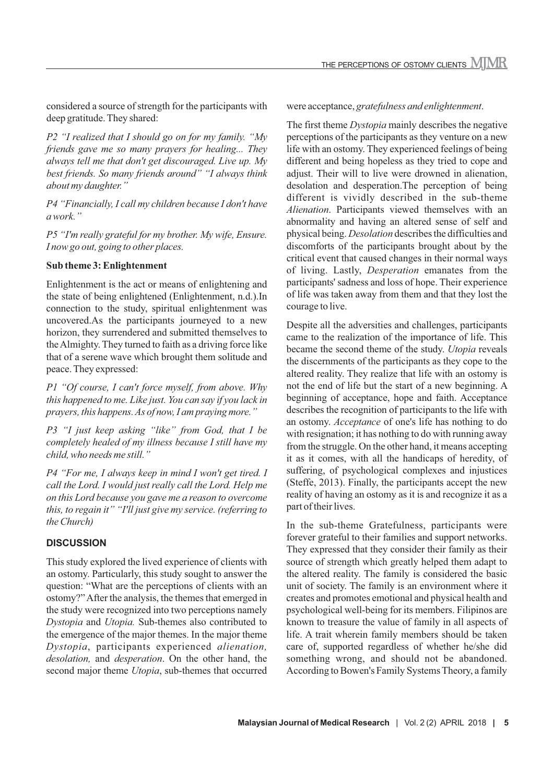considered a source of strength for the participants with deep gratitude. They shared:

*P2 "I realized that I should go on for my family. "My friends gave me so many prayers for healing... They always tell me that don't get discouraged. Live up. My best friends. So many friends around" "I always think about my daughter."*

*P4 "Financially, I call my children because I don't have a work."*

*P5 "I'm really grateful for my brother. My wife, Ensure. I now go out, going to other places.*

### **Sub theme 3: Enlightenment**

Enlightenment is the act or means of enlightening and the state of being enlightened (Enlightenment, n.d.).In connection to the study, spiritual enlightenment was uncovered.As the participants journeyed to a new horizon, they surrendered and submitted themselves to the Almighty. They turned to faith as a driving force like that of a serene wave which brought them solitude and peace. They expressed:

*P1 "Of course, I can't force myself, from above. Why this happened to me. Like just. You can say if you lack in prayers, this happens. As of now, I am praying more."*

*P3 "I just keep asking "like" from God, that I be completely healed of my illness because I still have my child, who needs me still."*

*P4 "For me, I always keep in mind I won't get tired. I call the Lord. I would just really call the Lord. Help me on this Lord because you gave me a reason to overcome this, to regain it" "I'll just give my service. (referring to the Church)* 

## **DISCUSSION**

This study explored the lived experience of clients with an ostomy. Particularly, this study sought to answer the question: "What are the perceptions of clients with an ostomy?" After the analysis, the themes that emerged in the study were recognized into two perceptions namely *Dystopia* and *Utopia.* Sub-themes also contributed to the emergence of the major themes. In the major theme *Dystopia*, participants experienced *alienation, desolation,* and *desperation*. On the other hand, the second major theme *Utopia*, sub-themes that occurred were acceptance, *gratefulness and enlightenment*.

The first theme *Dystopia* mainly describes the negative perceptions of the participants as they venture on a new life with an ostomy. They experienced feelings of being different and being hopeless as they tried to cope and adjust. Their will to live were drowned in alienation, desolation and desperation.The perception of being different is vividly described in the sub-theme *Alienation*. Participants viewed themselves with an abnormality and having an altered sense of self and physical being. *Desolation* describes the difficulties and discomforts of the participants brought about by the critical event that caused changes in their normal ways of living. Lastly, *Desperation* emanates from the participants' sadness and loss of hope. Their experience of life was taken away from them and that they lost the courage to live.

Despite all the adversities and challenges, participants came to the realization of the importance of life. This became the second theme of the study. *Utopia* reveals the discernments of the participants as they cope to the altered reality. They realize that life with an ostomy is not the end of life but the start of a new beginning. A beginning of acceptance, hope and faith. Acceptance describes the recognition of participants to the life with an ostomy. *Acceptance* of one's life has nothing to do with resignation; it has nothing to do with running away from the struggle. On the other hand, it means accepting it as it comes, with all the handicaps of heredity, of suffering, of psychological complexes and injustices (Steffe, 2013). Finally, the participants accept the new reality of having an ostomy as it is and recognize it as a part of their lives.

In the sub-theme Gratefulness, participants were forever grateful to their families and support networks. They expressed that they consider their family as their source of strength which greatly helped them adapt to the altered reality. The family is considered the basic unit of society. The family is an environment where it creates and promotes emotional and physical health and psychological well-being for its members. Filipinos are known to treasure the value of family in all aspects of life. A trait wherein family members should be taken care of, supported regardless of whether he/she did something wrong, and should not be abandoned. According to Bowen's Family Systems Theory, a family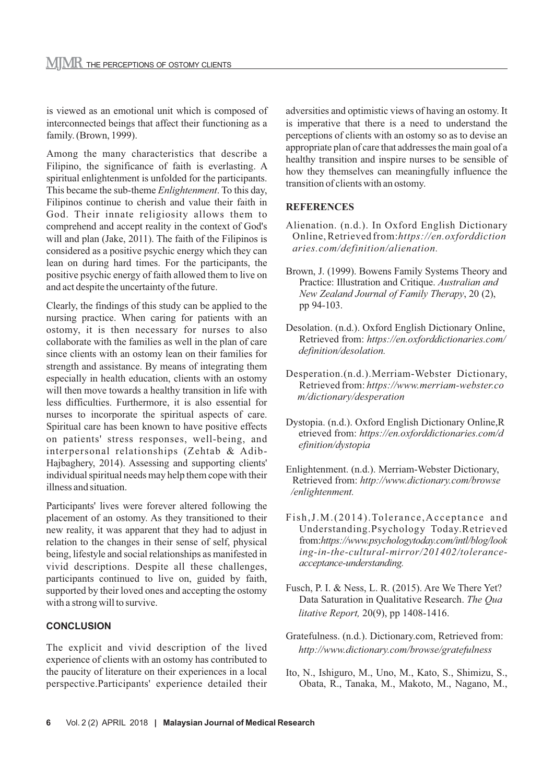is viewed as an emotional unit which is composed of interconnected beings that affect their functioning as a family. (Brown, 1999).

Among the many characteristics that describe a Filipino, the significance of faith is everlasting. A spiritual enlightenment is unfolded for the participants. This became the sub-theme *Enlightenment*. To this day, Filipinos continue to cherish and value their faith in God. Their innate religiosity allows them to comprehend and accept reality in the context of God's will and plan (Jake, 2011). The faith of the Filipinos is considered as a positive psychic energy which they can lean on during hard times. For the participants, the positive psychic energy of faith allowed them to live on and act despite the uncertainty of the future.

Clearly, the findings of this study can be applied to the nursing practice. When caring for patients with an ostomy, it is then necessary for nurses to also collaborate with the families as well in the plan of care since clients with an ostomy lean on their families for strength and assistance. By means of integrating them especially in health education, clients with an ostomy will then move towards a healthy transition in life with less difficulties. Furthermore, it is also essential for nurses to incorporate the spiritual aspects of care. Spiritual care has been known to have positive effects on patients' stress responses, well-being, and interpersonal relationships (Zehtab & Adib-Hajbaghery, 2014). Assessing and supporting clients' individual spiritual needs may help them cope with their illness and situation.

Participants' lives were forever altered following the placement of an ostomy. As they transitioned to their new reality, it was apparent that they had to adjust in relation to the changes in their sense of self, physical being, lifestyle and social relationships as manifested in vivid descriptions. Despite all these challenges, participants continued to live on, guided by faith, supported by their loved ones and accepting the ostomy with a strong will to survive.

## **CONCLUSION**

The explicit and vivid description of the lived experience of clients with an ostomy has contributed to the paucity of literature on their experiences in a local perspective.Participants' experience detailed their adversities and optimistic views of having an ostomy. It is imperative that there is a need to understand the perceptions of clients with an ostomy so as to devise an appropriate plan of care that addresses the main goal of a healthy transition and inspire nurses to be sensible of how they themselves can meaningfully influence the transition of clients with an ostomy.

### **REFERENCES**

- Alienation. (n.d.). In Oxford English Dictionary Online, Retrieved from:*https://en.oxforddiction aries.com/definition/alienation.*
- Brown, J. (1999). Bowens Family Systems Theory and Practice: Illustration and Critique. *Australian and New Zealand Journal of Family Therapy*, 20 (2), pp 94-103.
- Desolation. (n.d.). Oxford English Dictionary Online, Retrieved from: *https://en.oxforddictionaries.com/ definition/desolation.*
- Desperation.(n.d.).Merriam-Webster Dictionary, Retrieved from: *https://www.merriam-webster.co m/dictionary/desperation*
- Dystopia. (n.d.). Oxford English Dictionary Online,R etrieved from: *https://en.oxforddictionaries.com/d efinition/dystopia*
- Enlightenment. (n.d.). Merriam-Webster Dictionary, Retrieved from: *http://www.dictionary.com/browse /enlightenment.*
- Fish,J.M.(2014).Tolerance,Acceptance and Understanding.Psychology Today.Retrieved from:*https://www.psychologytoday.com/intl/blog/look ing-in-the-cultural-mirror/201402/toleranceacceptance-understanding.*
- Fusch, P. I. & Ness, L. R. (2015). Are We There Yet? Data Saturation in Qualitative Research. *The Qua litative Report,* 20(9), pp 1408-1416.
- Gratefulness. (n.d.). Dictionary.com, Retrieved from:  *http://www.dictionary.com/browse/gratefulness*
- Ito, N., Ishiguro, M., Uno, M., Kato, S., Shimizu, S., Obata, R., Tanaka, M., Makoto, M., Nagano, M.,